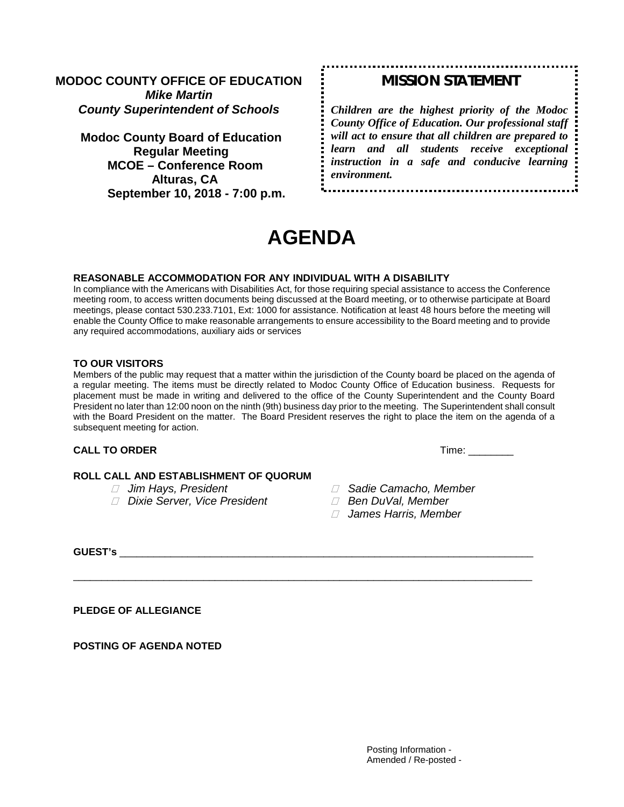## **MODOC COUNTY OFFICE OF EDUCATION** *Mike Martin County Superintendent of Schools*

**Modoc County Board of Education Regular Meeting MCOE – Conference Room Alturas, CA September 10, 2018 - 7:00 p.m.**

# *MISSION STATEMENT*

*Children are the highest priority of the Modoc County Office of Education. Our professional staff will act to ensure that all children are prepared to learn and all students receive exceptional instruction in a safe and conducive learning environment.*

# **AGENDA**

#### **REASONABLE ACCOMMODATION FOR ANY INDIVIDUAL WITH A DISABILITY**

In compliance with the Americans with Disabilities Act, for those requiring special assistance to access the Conference meeting room, to access written documents being discussed at the Board meeting, or to otherwise participate at Board meetings, please contact 530.233.7101, Ext: 1000 for assistance. Notification at least 48 hours before the meeting will enable the County Office to make reasonable arrangements to ensure accessibility to the Board meeting and to provide any required accommodations, auxiliary aids or services

#### **TO OUR VISITORS**

Members of the public may request that a matter within the jurisdiction of the County board be placed on the agenda of a regular meeting. The items must be directly related to Modoc County Office of Education business. Requests for placement must be made in writing and delivered to the office of the County Superintendent and the County Board President no later than 12:00 noon on the ninth (9th) business day prior to the meeting. The Superintendent shall consult with the Board President on the matter. The Board President reserves the right to place the item on the agenda of a subsequent meeting for action.

\_\_\_\_\_\_\_\_\_\_\_\_\_\_\_\_\_\_\_\_\_\_\_\_\_\_\_\_\_\_\_\_\_\_\_\_\_\_\_\_\_\_\_\_\_\_\_\_\_\_\_\_\_\_\_\_\_\_\_\_\_\_\_\_\_\_\_\_\_\_\_\_\_\_\_\_\_\_\_\_\_

#### **CALL TO ORDER Time:**  $\blacksquare$

# **ROLL CALL AND ESTABLISHMENT OF QUORUM**<br> *I* Jim Hays, President

- 
- *<i>* $\Box$  Dixie Server, Vice President
- *⊡ Sadie Camacho, Member<br>□ Ben DuVal, Member* 
	-
	- *James Harris, Member*

**GUEST's** \_\_\_\_\_\_\_\_\_\_\_\_\_\_\_\_\_\_\_\_\_\_\_\_\_\_\_\_\_\_\_\_\_\_\_\_\_\_\_\_\_\_\_\_\_\_\_\_\_\_\_\_\_\_\_\_\_\_\_\_\_\_\_\_\_\_\_\_\_\_\_\_\_

**PLEDGE OF ALLEGIANCE**

**POSTING OF AGENDA NOTED**